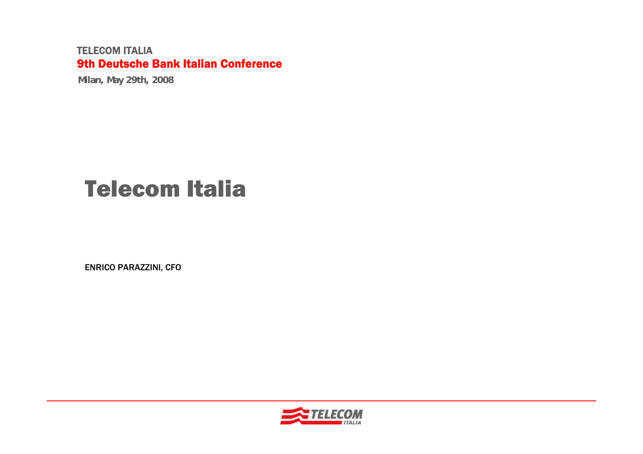**Milan, May 29th, 2008**

# Telecom Italia

ENRICO PARAZZINI, CFO

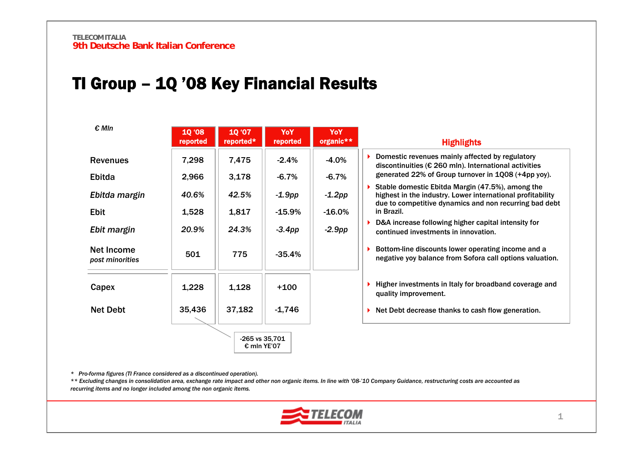# TI Group – 1Q '08 Key Financial Results

| $\epsilon$ MIn                | <b>10 '08</b><br>reported | 10 '07<br>reported*           | YoY<br>reported | YoY<br>organic** | <b>Highlights</b>                                                                                                                                                                      |
|-------------------------------|---------------------------|-------------------------------|-----------------|------------------|----------------------------------------------------------------------------------------------------------------------------------------------------------------------------------------|
| <b>Revenues</b>               | 7,298                     | 7,475                         | $-2.4\%$        | $-4.0%$          | Domestic revenues mainly affected by regulatory<br>discontinuities (€ 260 mln). International activities                                                                               |
| Ebitda                        | 2,966                     | 3,178                         | $-6.7%$         | $-6.7%$          | generated 22% of Group turnover in 1Q08 (+4pp yoy).                                                                                                                                    |
| Ebitda margin                 | 40.6%                     | 42.5%                         | $-1.9$ pp       | $-1.2pp$         | Stable domestic Ebitda Margin (47.5%), among the<br>highest in the industry. Lower international profitability<br>due to competitive dynamics and non recurring bad debt<br>in Brazil. |
| <b>Ebit</b>                   | 1,528                     | 1,817                         | $-15.9\%$       | $-16.0%$         |                                                                                                                                                                                        |
| Ebit margin                   | 20.9%                     | 24.3%                         | $-3.4$ pp       | $-2.9pp$         | D&A increase following higher capital intensity for<br>continued investments in innovation.                                                                                            |
| Net Income<br>post minorities | 501                       | 775                           | $-35.4%$        |                  | Bottom-line discounts lower operating income and a<br>negative yoy balance from Sofora call options valuation.                                                                         |
| Capex                         | 1,228                     | 1,128                         | $+100$          |                  | Higher investments in Italy for broadband coverage and<br>quality improvement.                                                                                                         |
| <b>Net Debt</b>               | 35,436                    | 37,182                        | $-1,746$        |                  | $\triangleright$ Net Debt decrease thanks to cash flow generation.                                                                                                                     |
|                               |                           | -265 vs 35,701<br>€ mln YE'07 |                 |                  |                                                                                                                                                                                        |

*\* Pro-forma figures (TI France considered as a discontinued operation).*

\*\* Excluding changes in consolidation area, exchange rate impact and other non organic items. In line with '08-'10 Company Guidance, restructuring costs are accounted as *recurring items and no longer included among the non organic items.*

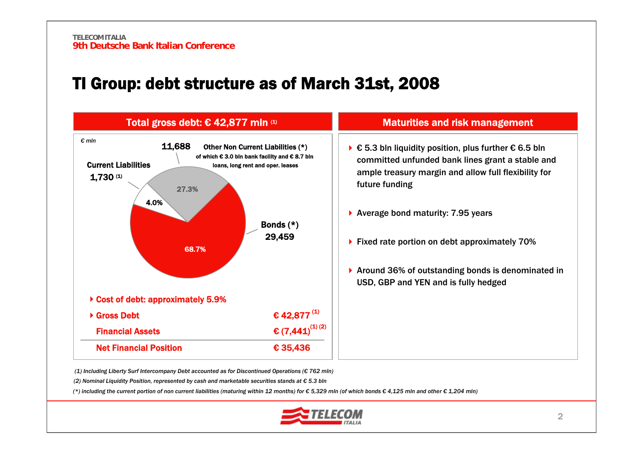### TI Group: debt structure as of March 31st, 2008





*(1) Including Liberty Surf Intercompany Debt accounted as for Discontinued Operations (€ 762 mln)*

*(2) Nominal Liquidity Position, represented by cash and marketable securities stands at € 5.3 bln*

(\*) including the current portion of non current liabilities (maturing within 12 months) for  $\epsilon$  5,329 mln (of which bonds  $\epsilon$  4,125 mln and other  $\epsilon$  1,204 mln)

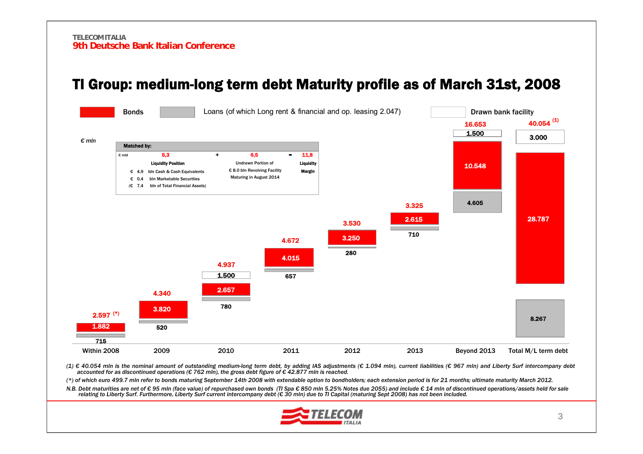

### TI Group: medium-long term debt Maturity profile as of March 31st, 2008

(1) € 40.054 mln is the nominal amount of outstanding medium-long term debt, by adding IAS adjustments (€ 1.094 mln), current liabilities (€ 967 mln) and Liberty Surf intercompany debt *accounted for as discontinued operations (€ 762 mln), the gross debt figure of € 42.877 mln is reached.*

(\*) of which euro 499.7 mln refer to bonds maturing September 14th 2008 with extendable option to bondholders; each extension period is for 21 months; ultimate maturity March 2012.

N.B. Debt maturities are net of €95 mln (face value) of repurchased own bonds (TI Spa €850 mln 5.25% Notes due 2055) and include €14 mln of discontinued operations/assets held for sale relating to Liberty Surf. Furthermore, Liberty Surf current intercompany debt (€ 30 mln) due to TI Capital (maturing Sept 2008) has not been included.

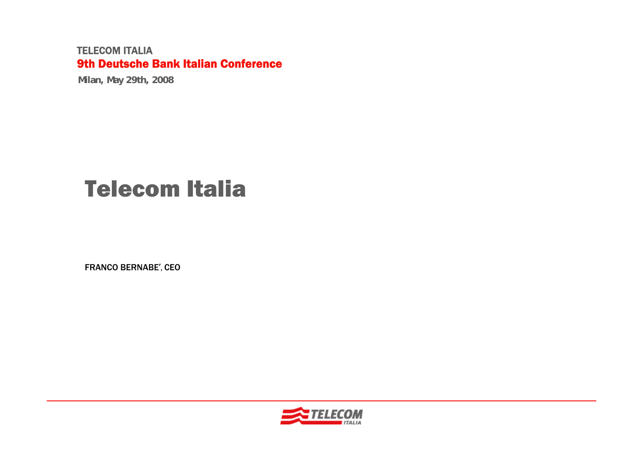**Milan, May 29th, 2008**

# Telecom Italia

FRANCO BERNABE′, CEO

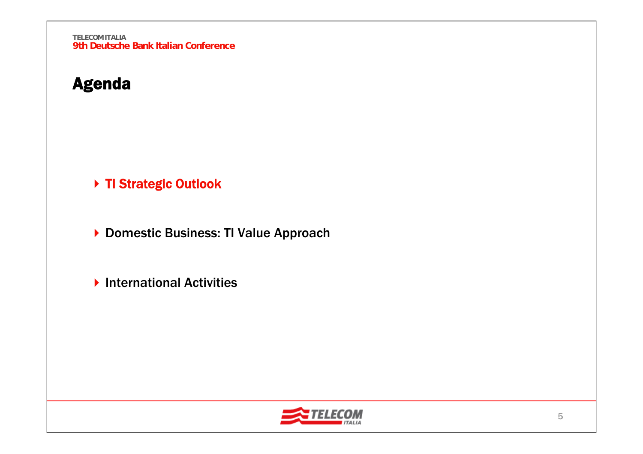# Agenda

▶ TI Strategic Outlook

▶ Domestic Business: TI Value Approach

▶ International Activities

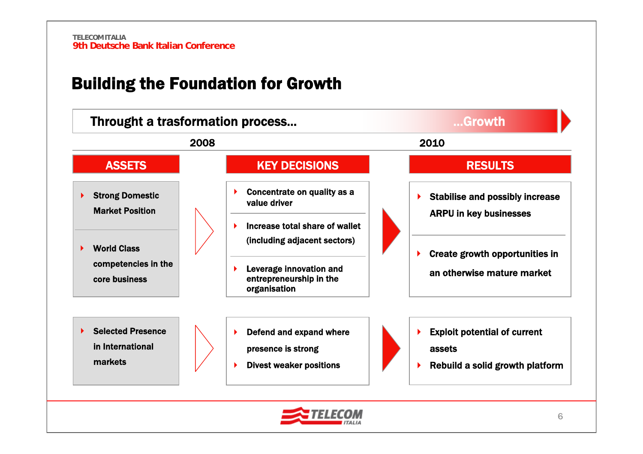# Building the Foundation for Growth

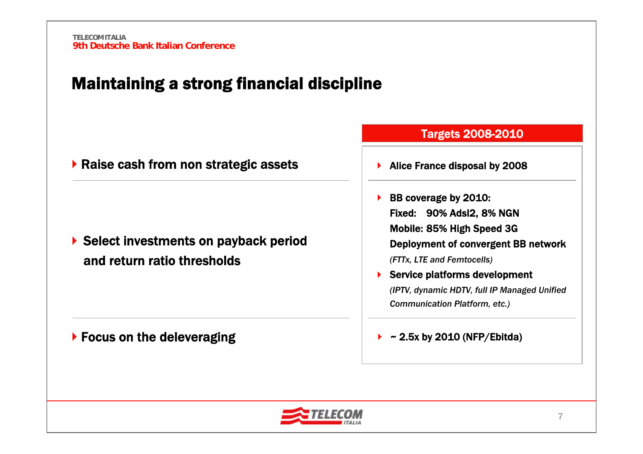# Maintaining a strong financial discipline

|  |  |  |  |  | ▶ Raise cash from non strategic assets |  |
|--|--|--|--|--|----------------------------------------|--|
|--|--|--|--|--|----------------------------------------|--|

▶ Select investments on payback period and return ratio thresholds

▶ Focus on the deleveraging

#### Targets 2008-2010

- ▶ Alice France disposal by 2008
- ▶ BB coverage by 2010: Fixed: 90% Adsl2, 8% NGN Mobile: 85% High Speed 3G Deployment of convergent BB network *(FTTx, LTE and Femtocells)* ▶ Service platforms development

*(IPTV, dynamic HDTV, full IP Managed Unified Communication Platform, etc.)*

#### ▶ ~ 2.5x by 2010 (NFP/Ebitda)

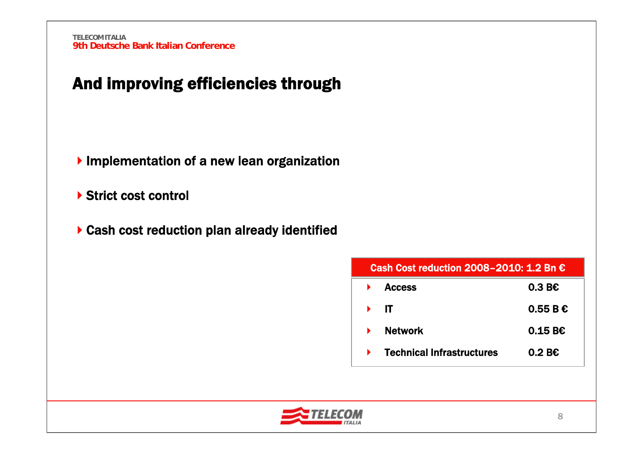# And improving efficiencies through

- **Implementation of a new lean organization**
- ▶ Strict cost control
- Cash cost reduction plan already identified

| Cash Cost reduction 2008-2010: 1.2 Bn € |                 |  |  |  |
|-----------------------------------------|-----------------|--|--|--|
| <b>Access</b>                           | $0.3 B\epsilon$ |  |  |  |
| IT                                      | 0.55BE          |  |  |  |
| <b>Network</b>                          | 0.15B           |  |  |  |
| <b>Technical Infrastructures</b>        | $0.2 B\epsilon$ |  |  |  |

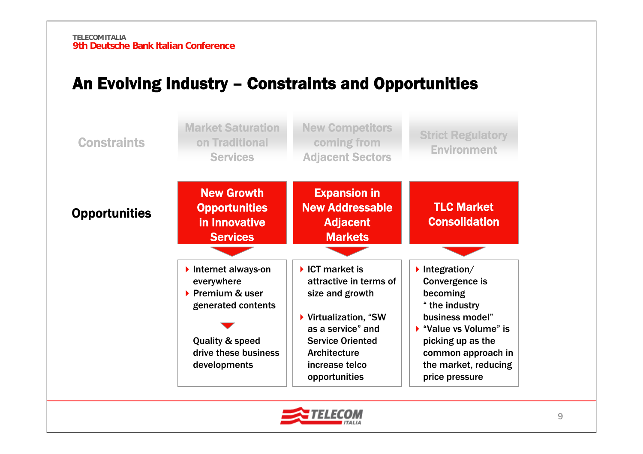# An Evolving Industry – Constraints and Opportunities



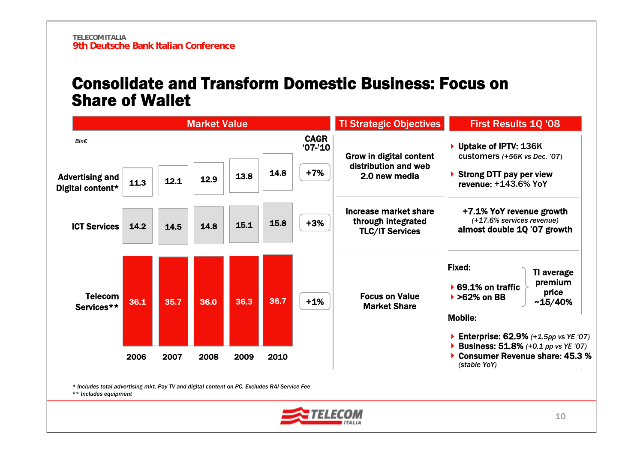### Consolidate and Transform Domestic Business: Focus on Share of Wallet



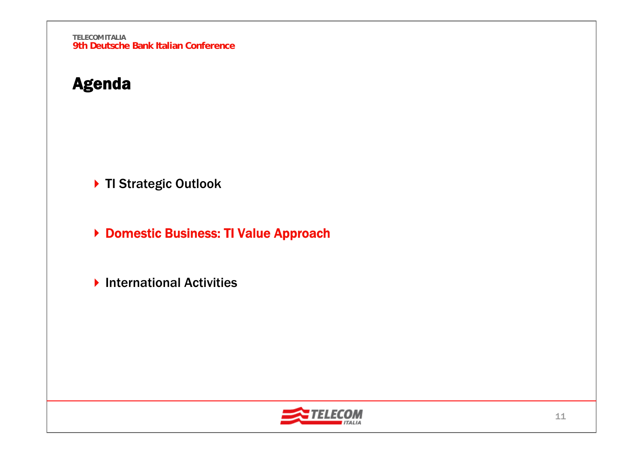# Agenda

▶ TI Strategic Outlook

▶ Domestic Business: TI Value Approach

▶ International Activities

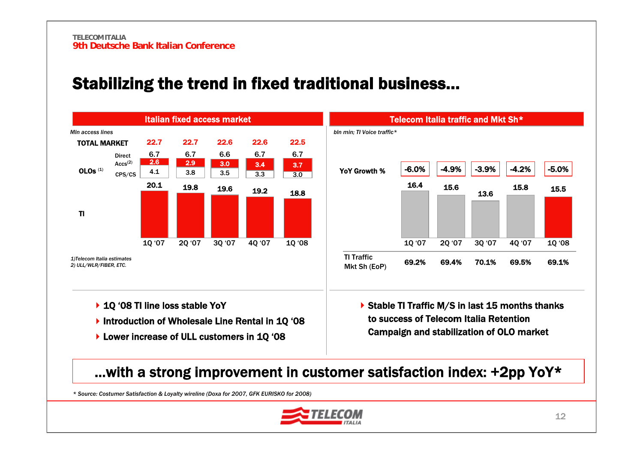# Stabilizing the trend in fixed traditional business…





- ▶ 1Q '08 TI line loss stable YoY
- ▶ Introduction of Wholesale Line Rental in 1Q '08
- ▶ Lower increase of ULL customers in 1Q '08

▶ Stable TI Traffic M/S in last 15 months thanks to success of Telecom Italia Retention Campaign and stabilization of OLO market

### …with a strong improvement in customer satisfaction index: +2pp YoY\*

*\* Source: Costumer Satisfaction & Loyalty wireline (Doxa for 2007, GFK EURISKO for 2008)*

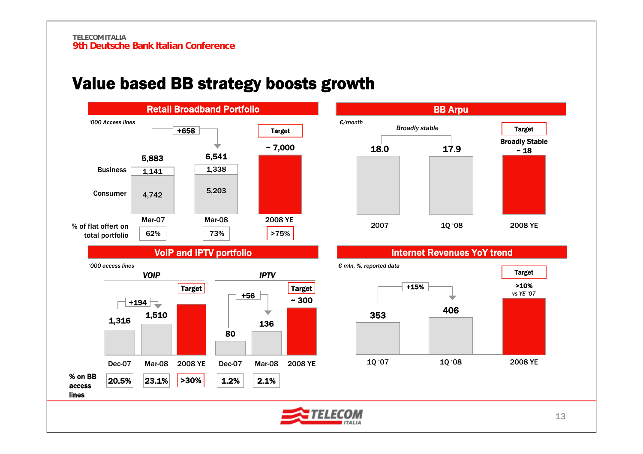# Value based BB strategy boosts growth





#### Internet Revenues YoY trend



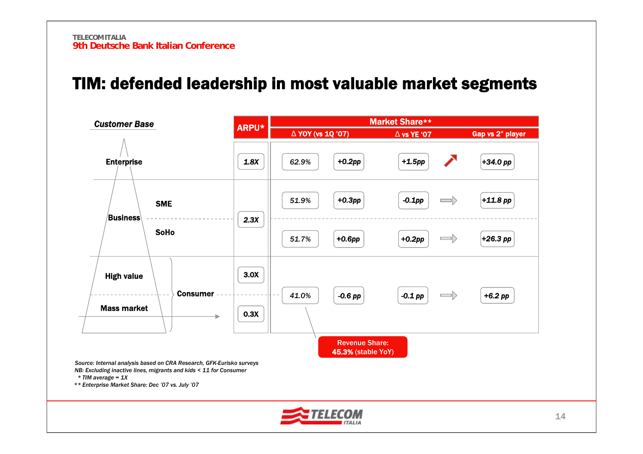## TIM: defended leadership in most valuable market segments

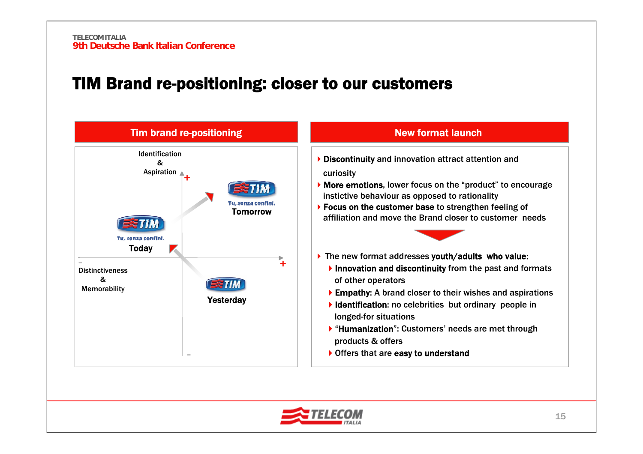### TIM Brand re-positioning: closer to our customers



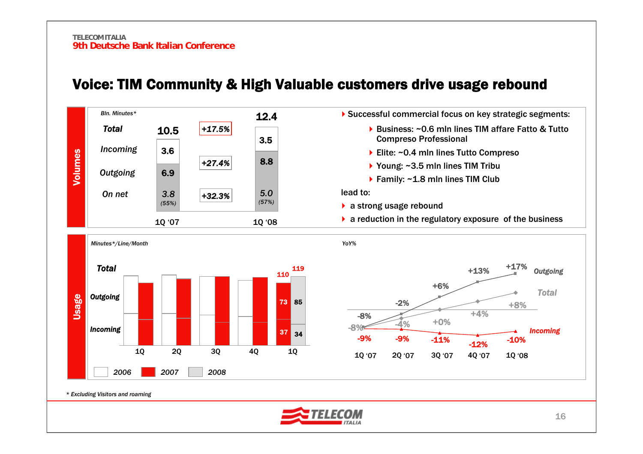

### Voice: TIM Community & High Valuable customers drive usage rebound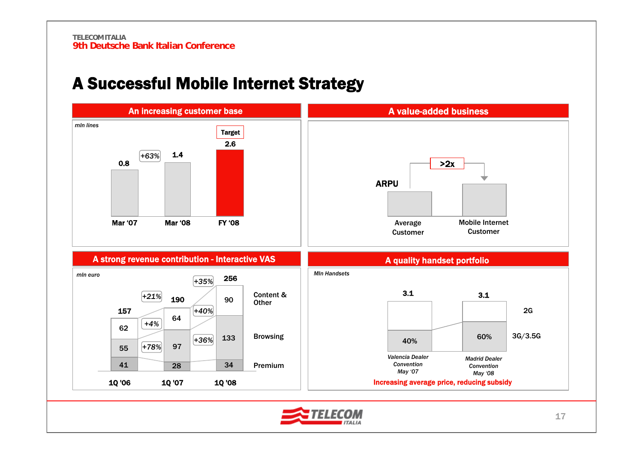# A Successful Mobile Internet Strategy

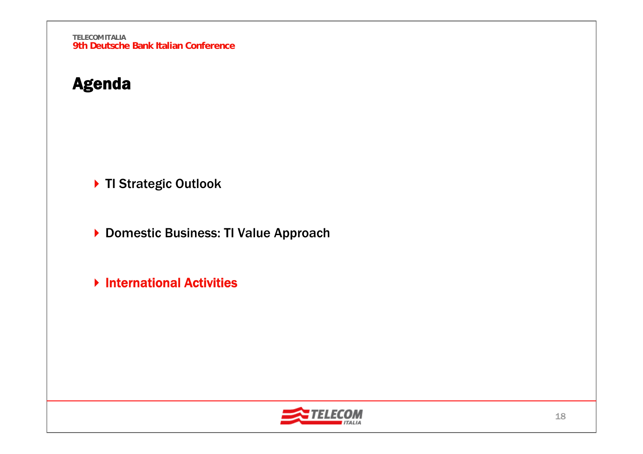# Agenda

▶ TI Strategic Outlook

▶ Domestic Business: TI Value Approach

**Multernational Activities** 

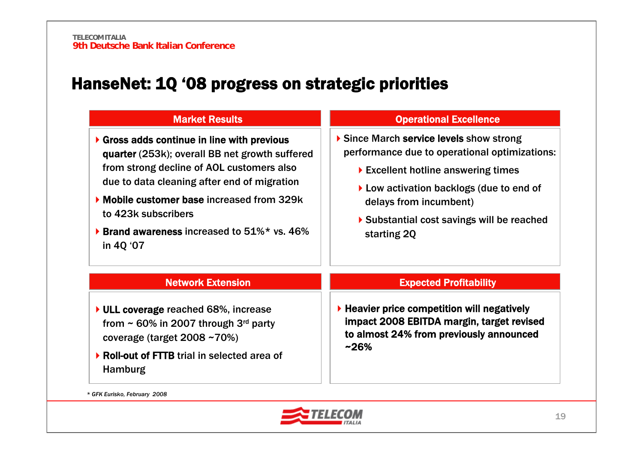# HanseNet: 1Q '08 progress on strategic priorities

| <b>Market Results</b>                                                                                                                                                                                                                                                                                                                   | <b>Operational Excellence</b>                                                                                                                                                                                                                                                                             |
|-----------------------------------------------------------------------------------------------------------------------------------------------------------------------------------------------------------------------------------------------------------------------------------------------------------------------------------------|-----------------------------------------------------------------------------------------------------------------------------------------------------------------------------------------------------------------------------------------------------------------------------------------------------------|
| Gross adds continue in line with previous<br>quarter (253k); overall BB net growth suffered<br>from strong decline of AOL customers also<br>due to data cleaning after end of migration<br>• Mobile customer base increased from 329k<br>to 423k subscribers<br><b>Example 3 Brand awareness increased to 51%* vs. 46%</b><br>in 4Q '07 | Since March service levels show strong<br>performance due to operational optimizations:<br>$\blacktriangleright$ Excellent hotline answering times<br>$\blacktriangleright$ Low activation backlogs (due to end of<br>delays from incumbent)<br>▶ Substantial cost savings will be reached<br>starting 20 |
| <b>Network Extension</b>                                                                                                                                                                                                                                                                                                                | <b>Expected Profitability</b>                                                                                                                                                                                                                                                                             |
| ▶ ULL coverage reached 68%, increase<br>from $\sim$ 60% in 2007 through 3 <sup>rd</sup> party<br>coverage (target 2008~70%)<br>▶ Roll-out of FTTB trial in selected area of<br><b>Hamburg</b>                                                                                                                                           | $\blacktriangleright$ Heavier price competition will negatively<br>impact 2008 EBITDA margin, target revised<br>to almost 24% from previously announced<br>$~26\%$                                                                                                                                        |

*\* GFK Eurisko, February 2008*

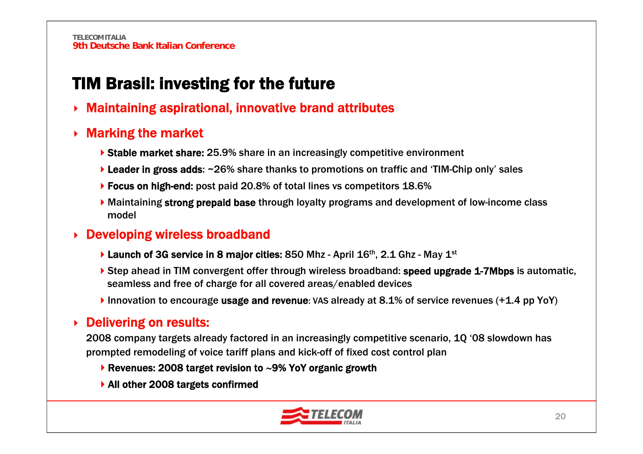# TIM Brasil: investing for the future

▶ Maintaining aspirational, innovative brand attributes

#### ▶ Marking the market

- ▶ Stable market share: 25.9% share in an increasingly competitive environment
- ▶ Leader in gross adds: ~26% share thanks to promotions on traffic and 'TIM-Chip only' sales
- ▶ Focus on high-end: post paid 20.8% of total lines vs competitors 18.6%
- Maintaining strong prepaid base through loyalty programs and development of low-income class model

#### **▶ Developing wireless broadband**

- **Launch of 3G service in 8 major cities: 850 Mhz April 16th, 2.1 Ghz May 1st**
- ▶ Step ahead in TIM convergent offer through wireless broadband: speed upgrade 1-7Mbps is automatic, seamless and free of charge for all covered areas/enabled devices
- Innovation to encourage usage and revenue: VAS already at 8.1% of service revenues (+1.4 pp YoY)

#### ▶ Delivering on results:

2008 company targets already factored in an increasingly competitive scenario, 1Q '08 slowdown has prompted remodeling of voice tariff plans and kick-off of fixed cost control plan

- Revenues: 2008 target revision to ∼9% YoY organic growth
- ▶ All other 2008 targets confirmed

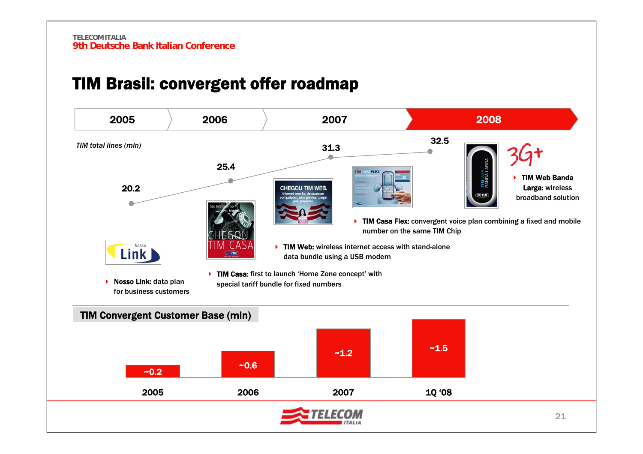# TIM Brasil: convergent offer roadmap